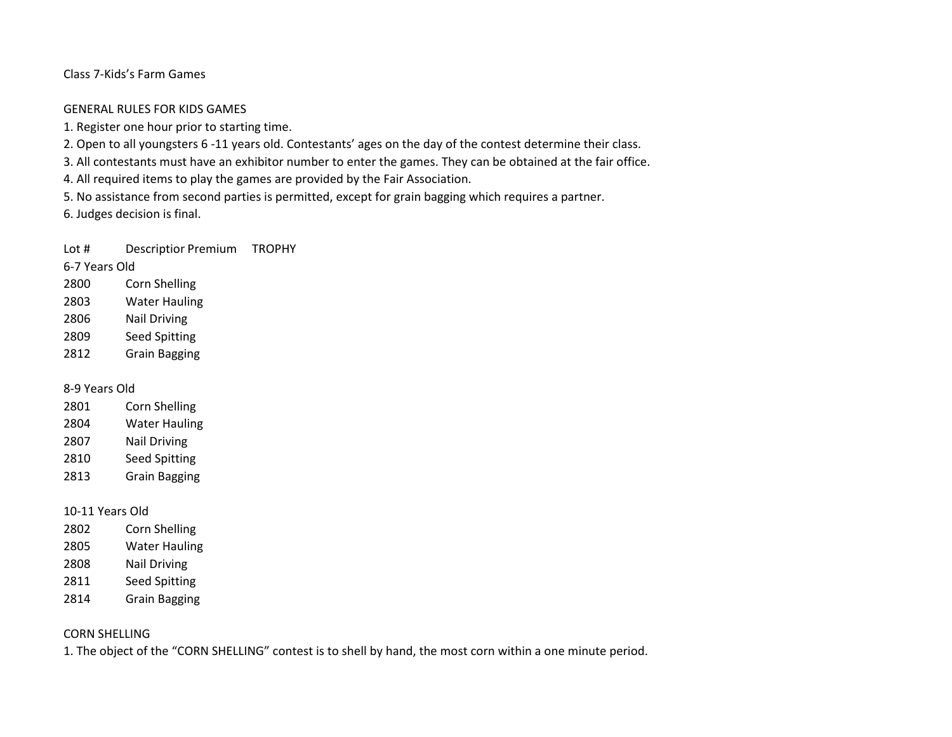Class 7-Kids's Farm Games

#### GENERAL RULES FOR KIDS GAMES

- 1. Register one hour prior to starting time.
- 2. Open to all youngsters 6 -11 years old. Contestants' ages on the day of the contest determine their class.

3. All contestants must have an exhibitor number to enter the games. They can be obtained at the fair office.

4. All required items to play the games are provided by the Fair Association.

5. No assistance from second parties is permitted, except for grain bagging which requires a partner.

6. Judges decision is final.

Lot # Descriptior Premium TROPHY

6-7 Years Old

- 2800 Corn Shelling
- 2803 Water Hauling
- 2806 Nail Driving
- 2809 Seed Spitting
- 2812 Grain Bagging

8-9 Years Old

| 2801 | Corn Shelling        |
|------|----------------------|
| 2804 | <b>Water Hauling</b> |
| 2807 | <b>Nail Driving</b>  |
| 2810 | <b>Seed Spitting</b> |
| 2813 | <b>Grain Bagging</b> |

### 10-11 Years Old

- 2802 Corn Shelling 2805 Water Hauling
- 2808 Nail Driving
- 2811 Seed Spitting
- 2814 Grain Bagging

# CORN SHELLING

1. The object of the "CORN SHELLING" contest is to shell by hand, the most corn within a one minute period.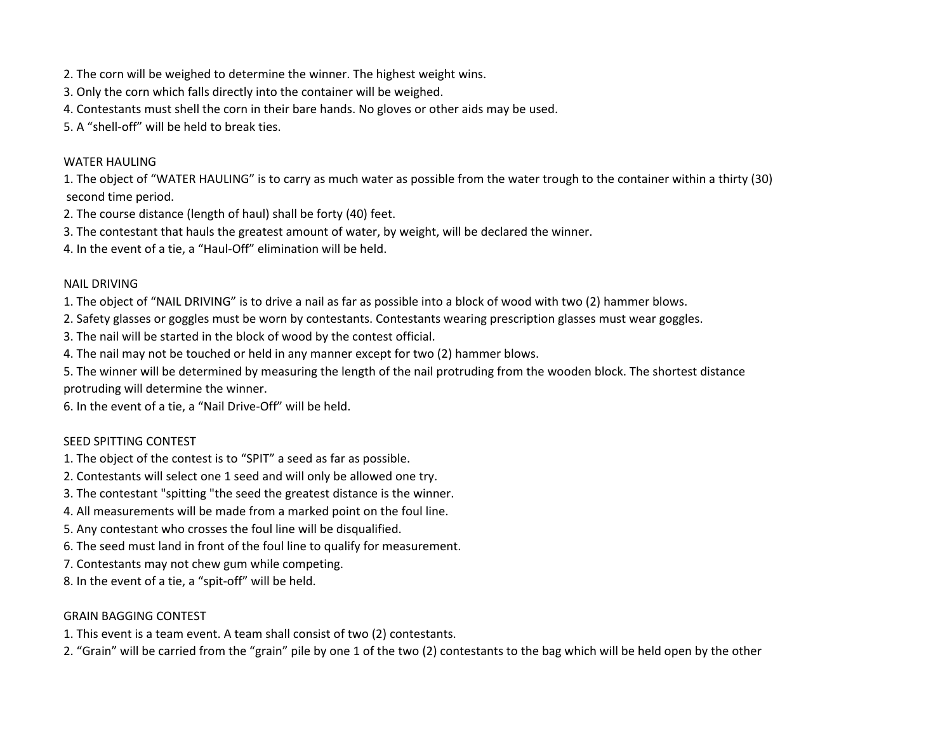- 2. The corn will be weighed to determine the winner. The highest weight wins.
- 3. Only the corn which falls directly into the container will be weighed.
- 4. Contestants must shell the corn in their bare hands. No gloves or other aids may be used.
- 5. A "shell-off" will be held to break ties.

### WATER HAULING

1. The object of "WATER HAULING" is to carry as much water as possible from the water trough to the container within a thirty (30) second time period.

- 2. The course distance (length of haul) shall be forty (40) feet.
- 3. The contestant that hauls the greatest amount of water, by weight, will be declared the winner.
- 4. In the event of a tie, a "Haul-Off" elimination will be held.

### NAIL DRIVING

1. The object of "NAIL DRIVING" is to drive a nail as far as possible into a block of wood with two (2) hammer blows.

- 2. Safety glasses or goggles must be worn by contestants. Contestants wearing prescription glasses must wear goggles.
- 3. The nail will be started in the block of wood by the contest official.
- 4. The nail may not be touched or held in any manner except for two (2) hammer blows.

5. The winner will be determined by measuring the length of the nail protruding from the wooden block. The shortest distance protruding will determine the winner.

6. In the event of a tie, a "Nail Drive-Off" will be held.

# SEED SPITTING CONTEST

- 1. The object of the contest is to "SPIT" a seed as far as possible.
- 2. Contestants will select one 1 seed and will only be allowed one try.
- 3. The contestant "spitting "the seed the greatest distance is the winner.
- 4. All measurements will be made from a marked point on the foul line.
- 5. Any contestant who crosses the foul line will be disqualified.
- 6. The seed must land in front of the foul line to qualify for measurement.
- 7. Contestants may not chew gum while competing.
- 8. In the event of a tie, a "spit-off" will be held.

### GRAIN BAGGING CONTEST

- 1. This event is a team event. A team shall consist of two (2) contestants.
- 2. "Grain" will be carried from the "grain" pile by one 1 of the two (2) contestants to the bag which will be held open by the other